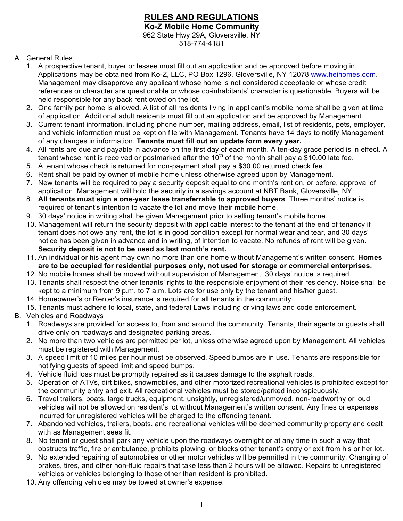## **RULES AND REGULATIONS Ko-Z Mobile Home Community** 962 State Hwy 29A, Gloversville, NY

518-774-4181

- A. General Rules
	- 1. A prospective tenant, buyer or lessee must fill out an application and be approved before moving in. Applications may be obtained from Ko-Z, LLC, PO Box 1296, Gloversville, NY 12078 www.heihomes.com. Management may disapprove any applicant whose home is not considered acceptable or whose credit references or character are questionable or whose co-inhabitants' character is questionable. Buyers will be held responsible for any back rent owed on the lot.
	- 2. One family per home is allowed. A list of all residents living in applicant's mobile home shall be given at time of application. Additional adult residents must fill out an application and be approved by Management.
	- 3. Current tenant information, including phone number, mailing address, email, list of residents, pets, employer, and vehicle information must be kept on file with Management. Tenants have 14 days to notify Management of any changes in information. **Tenants must fill out an update form every year.**
	- 4. All rents are due and payable in advance on the first day of each month. A ten-day grace period is in effect. A tenant whose rent is received or postmarked after the 10<sup>th</sup> of the month shall pay a \$10.00 late fee.
	- 5. A tenant whose check is returned for non-payment shall pay a \$30.00 returned check fee.
	- 6. Rent shall be paid by owner of mobile home unless otherwise agreed upon by Management.
	- 7. New tenants will be required to pay a security deposit equal to one month's rent on, or before, approval of application. Management will hold the security in a savings account at NBT Bank, Gloversville, NY.
	- 8. **All tenants must sign a one-year lease transferrable to approved buyers**. Three months' notice is required of tenant's intention to vacate the lot and move their mobile home.
	- 9. 30 days' notice in writing shall be given Management prior to selling tenant's mobile home.
	- 10. Management will return the security deposit with applicable interest to the tenant at the end of tenancy if tenant does not owe any rent, the lot is in good condition except for normal wear and tear, and 30 days' notice has been given in advance and in writing, of intention to vacate. No refunds of rent will be given. **Security deposit is not to be used as last month's rent.**
	- 11. An individual or his agent may own no more than one home without Management's written consent. **Homes are to be occupied for residential purposes only, not used for storage or commercial enterprises.**
	- 12. No mobile homes shall be moved without supervision of Management. 30 days' notice is required.
	- 13. Tenants shall respect the other tenants' rights to the responsible enjoyment of their residency. Noise shall be kept to a minimum from 9 p.m. to 7 a.m. Lots are for use only by the tenant and his/her guest.
	- 14. Homeowner's or Renter's insurance is required for all tenants in the community.
	- 15. Tenants must adhere to local, state, and federal Laws including driving laws and code enforcement.
- B. Vehicles and Roadways
	- 1. Roadways are provided for access to, from and around the community. Tenants, their agents or guests shall drive only on roadways and designated parking areas.
	- 2. No more than two vehicles are permitted per lot, unless otherwise agreed upon by Management. All vehicles must be registered with Management.
	- 3. A speed limit of 10 miles per hour must be observed. Speed bumps are in use. Tenants are responsible for notifying guests of speed limit and speed bumps.
	- 4. Vehicle fluid loss must be promptly repaired as it causes damage to the asphalt roads.
	- 5. Operation of ATVs, dirt bikes, snowmobiles, and other motorized recreational vehicles is prohibited except for the community entry and exit. All recreational vehicles must be stored/parked inconspicuously.
	- 6. Travel trailers, boats, large trucks, equipment, unsightly, unregistered/unmoved, non-roadworthy or loud vehicles will not be allowed on resident's lot without Management's written consent. Any fines or expenses incurred for unregistered vehicles will be charged to the offending tenant.
	- 7. Abandoned vehicles, trailers, boats, and recreational vehicles will be deemed community property and dealt with as Management sees fit.
	- 8. No tenant or guest shall park any vehicle upon the roadways overnight or at any time in such a way that obstructs traffic, fire or ambulance, prohibits plowing, or blocks other tenant's entry or exit from his or her lot.
	- 9. No extended repairing of automobiles or other motor vehicles will be permitted in the community. Changing of brakes, tires, and other non-fluid repairs that take less than 2 hours will be allowed. Repairs to unregistered vehicles or vehicles belonging to those other than resident is prohibited.
	- 10. Any offending vehicles may be towed at owner's expense.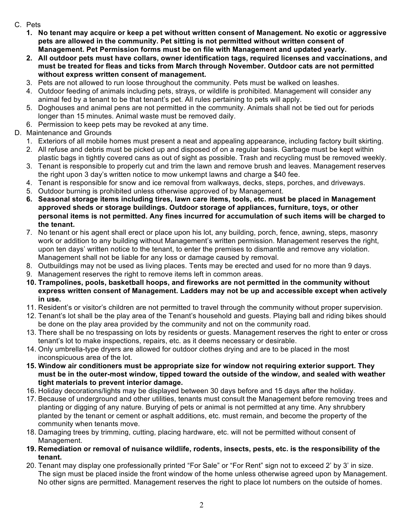- C. Pets
	- **1. No tenant may acquire or keep a pet without written consent of Management. No exotic or aggressive pets are allowed in the community. Pet sitting is not permitted without written consent of Management. Pet Permission forms must be on file with Management and updated yearly.**
	- **2. All outdoor pets must have collars, owner identification tags, required licenses and vaccinations, and must be treated for fleas and ticks from March through November. Outdoor cats are not permitted without express written consent of management.**
	- 3. Pets are not allowed to run loose throughout the community. Pets must be walked on leashes.
	- 4. Outdoor feeding of animals including pets, strays, or wildlife is prohibited. Management will consider any animal fed by a tenant to be that tenant's pet. All rules pertaining to pets will apply.
	- 5. Doghouses and animal pens are not permitted in the community. Animals shall not be tied out for periods longer than 15 minutes. Animal waste must be removed daily.
	- 6. Permission to keep pets may be revoked at any time.
- D. Maintenance and Grounds
	- 1. Exteriors of all mobile homes must present a neat and appealing appearance, including factory built skirting.
	- 2. All refuse and debris must be picked up and disposed of on a regular basis. Garbage must be kept within plastic bags in tightly covered cans as out of sight as possible. Trash and recycling must be removed weekly.
	- 3. Tenant is responsible to properly cut and trim the lawn and remove brush and leaves. Management reserves the right upon 3 day's written notice to mow unkempt lawns and charge a \$40 fee.
	- 4. Tenant is responsible for snow and ice removal from walkways, decks, steps, porches, and driveways.
	- 5. Outdoor burning is prohibited unless otherwise approved of by Management.
	- **6. Seasonal storage items including tires, lawn care items, tools, etc. must be placed in Management approved sheds or storage buildings. Outdoor storage of appliances, furniture, toys, or other personal items is not permitted. Any fines incurred for accumulation of such items will be charged to the tenant.**
	- 7. No tenant or his agent shall erect or place upon his lot, any building, porch, fence, awning, steps, masonry work or addition to any building without Management's written permission. Management reserves the right, upon ten days' written notice to the tenant, to enter the premises to dismantle and remove any violation. Management shall not be liable for any loss or damage caused by removal.
	- 8. Outbuildings may not be used as living places. Tents may be erected and used for no more than 9 days.
	- 9. Management reserves the right to remove items left in common areas.
	- **10. Trampolines, pools, basketball hoops, and fireworks are not permitted in the community without express written consent of Management. Ladders may not be up and accessible except when actively in use.**
	- 11. Resident's or visitor's children are not permitted to travel through the community without proper supervision.
	- 12. Tenant's lot shall be the play area of the Tenant's household and guests. Playing ball and riding bikes should be done on the play area provided by the community and not on the community road.
	- 13. There shall be no trespassing on lots by residents or guests. Management reserves the right to enter or cross tenant's lot to make inspections, repairs, etc. as it deems necessary or desirable.
	- 14. Only umbrella-type dryers are allowed for outdoor clothes drying and are to be placed in the most inconspicuous area of the lot.
	- **15. Window air conditioners must be appropriate size for window not requiring exterior support. They must be in the outer-most window, tipped toward the outside of the window, and sealed with weather tight materials to prevent interior damage.**
	- 16. Holiday decorations/lights may be displayed between 30 days before and 15 days after the holiday.
	- 17. Because of underground and other utilities, tenants must consult the Management before removing trees and planting or digging of any nature. Burying of pets or animal is not permitted at any time. Any shrubbery planted by the tenant or cement or asphalt additions, etc. must remain, and become the property of the community when tenants move.
	- 18. Damaging trees by trimming, cutting, placing hardware, etc. will not be permitted without consent of Management.
	- **19. Remediation or removal of nuisance wildlife, rodents, insects, pests, etc. is the responsibility of the tenant.**
	- 20. Tenant may display one professionally printed "For Sale" or "For Rent" sign not to exceed 2' by 3' in size. The sign must be placed inside the front window of the home unless otherwise agreed upon by Management. No other signs are permitted. Management reserves the right to place lot numbers on the outside of homes.